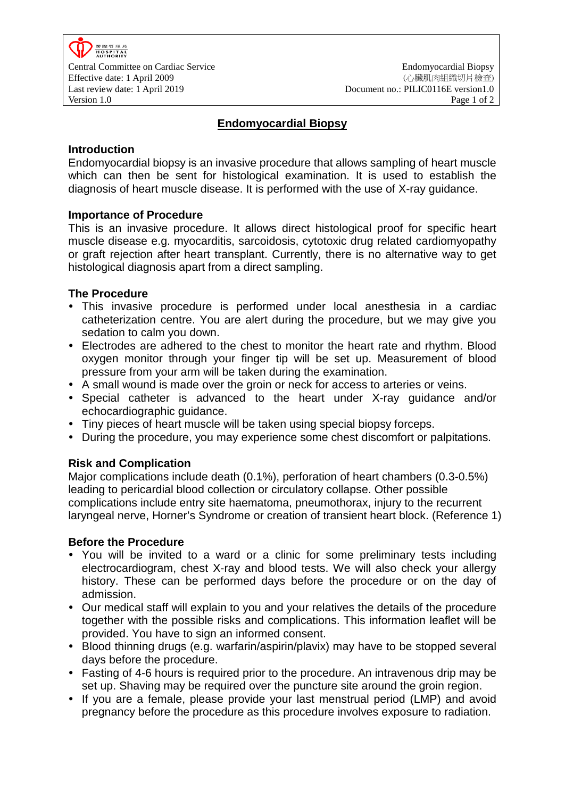

# **Endomyocardial Biopsy**

### **Introduction**

Endomyocardial biopsy is an invasive procedure that allows sampling of heart muscle which can then be sent for histological examination. It is used to establish the diagnosis of heart muscle disease. It is performed with the use of X-ray guidance.

### **Importance of Procedure**

This is an invasive procedure. It allows direct histological proof for specific heart muscle disease e.g. myocarditis, sarcoidosis, cytotoxic drug related cardiomyopathy or graft rejection after heart transplant. Currently, there is no alternative way to get histological diagnosis apart from a direct sampling.

### **The Procedure**

- This invasive procedure is performed under local anesthesia in a cardiac catheterization centre. You are alert during the procedure, but we may give you sedation to calm you down.
- Electrodes are adhered to the chest to monitor the heart rate and rhythm. Blood oxygen monitor through your finger tip will be set up. Measurement of blood pressure from your arm will be taken during the examination.
- A small wound is made over the groin or neck for access to arteries or veins.
- Special catheter is advanced to the heart under X-ray guidance and/or echocardiographic guidance.
- Tiny pieces of heart muscle will be taken using special biopsy forceps.
- During the procedure, you may experience some chest discomfort or palpitations.

## **Risk and Complication**

Major complications include death (0.1%), perforation of heart chambers (0.3-0.5%) leading to pericardial blood collection or circulatory collapse. Other possible complications include entry site haematoma, pneumothorax, injury to the recurrent laryngeal nerve, Horner's Syndrome or creation of transient heart block. (Reference 1)

#### **Before the Procedure**

- You will be invited to a ward or a clinic for some preliminary tests including electrocardiogram, chest X-ray and blood tests. We will also check your allergy history. These can be performed days before the procedure or on the day of admission.
- Our medical staff will explain to you and your relatives the details of the procedure together with the possible risks and complications. This information leaflet will be provided. You have to sign an informed consent.
- Blood thinning drugs (e.g. warfarin/aspirin/plavix) may have to be stopped several days before the procedure.
- Fasting of 4-6 hours is required prior to the procedure. An intravenous drip may be set up. Shaving may be required over the puncture site around the groin region.
- If you are a female, please provide your last menstrual period (LMP) and avoid pregnancy before the procedure as this procedure involves exposure to radiation.